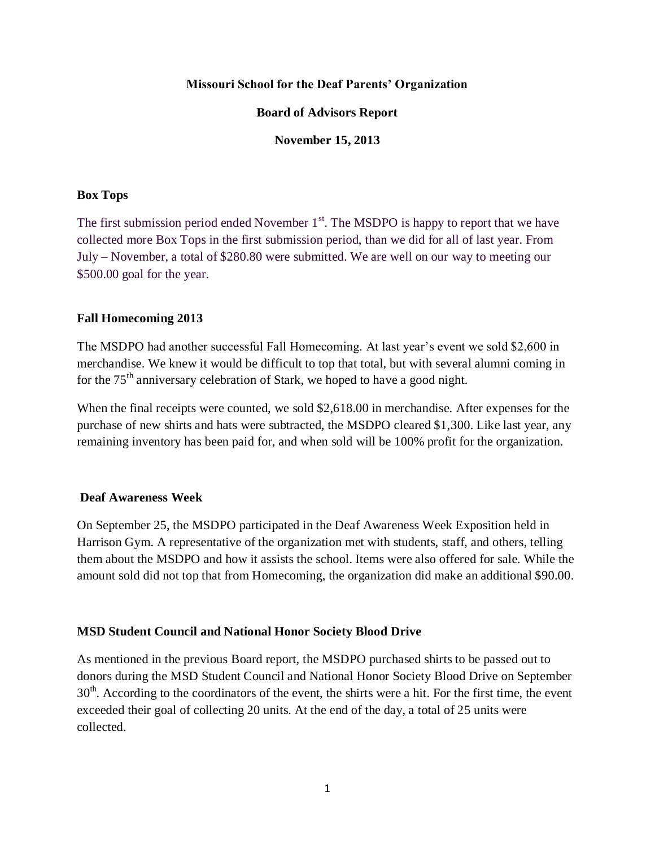### **Missouri School for the Deaf Parents' Organization**

## **Board of Advisors Report**

### **November 15, 2013**

#### **Box Tops**

The first submission period ended November  $1<sup>st</sup>$ . The MSDPO is happy to report that we have collected more Box Tops in the first submission period, than we did for all of last year. From July – November, a total of \$280.80 were submitted. We are well on our way to meeting our \$500.00 goal for the year.

#### **Fall Homecoming 2013**

The MSDPO had another successful Fall Homecoming. At last year's event we sold \$2,600 in merchandise. We knew it would be difficult to top that total, but with several alumni coming in for the  $75<sup>th</sup>$  anniversary celebration of Stark, we hoped to have a good night.

When the final receipts were counted, we sold \$2,618.00 in merchandise. After expenses for the purchase of new shirts and hats were subtracted, the MSDPO cleared \$1,300. Like last year, any remaining inventory has been paid for, and when sold will be 100% profit for the organization.

#### **Deaf Awareness Week**

On September 25, the MSDPO participated in the Deaf Awareness Week Exposition held in Harrison Gym. A representative of the organization met with students, staff, and others, telling them about the MSDPO and how it assists the school. Items were also offered for sale. While the amount sold did not top that from Homecoming, the organization did make an additional \$90.00.

#### **MSD Student Council and National Honor Society Blood Drive**

As mentioned in the previous Board report, the MSDPO purchased shirts to be passed out to donors during the MSD Student Council and National Honor Society Blood Drive on September 30<sup>th</sup>. According to the coordinators of the event, the shirts were a hit. For the first time, the event exceeded their goal of collecting 20 units. At the end of the day, a total of 25 units were collected.